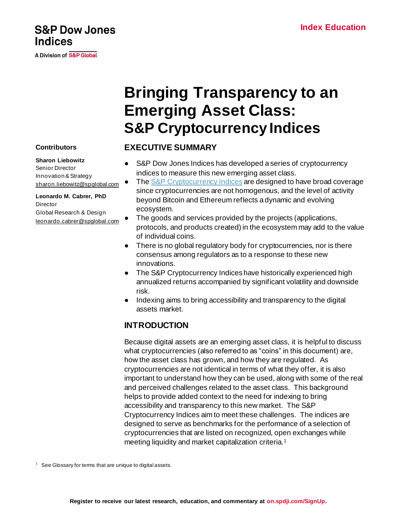# **S&P Dow Jones Indices**

**A Division of S&P Global** 

**Contributors**

**Director** 

**Sharon Liebowitz** Senior Director Innovation & Strategy

[sharon.liebowitz@spglobal.com](mailto:sharon.liebowitz@spglobal.com)

**Leonardo M. Cabrer, PhD**

Global Research & Design [leonardo.cabrer@spglobal.com](mailto:leonardo.cabrer@spglobal.com)

# **Bringing Transparency to an Emerging Asset Class: S&P Cryptocurrency Indices**

# **EXECUTIVE SUMMARY**

- S&P Dow Jones Indices has developed a series of cryptocurrency indices to measure this new emerging asset class.
- Th[e S&P Cryptocurrency Indices](https://www.spglobal.com/spdji/en/index-family/digital-assets/cryptocurrency/?utm_source=pdf_education) are designed to have broad coverage since cryptocurrencies are not homogenous, and the level of activity beyond Bitcoin and Ethereum reflects a dynamic and evolving ecosystem.
- The goods and services provided by the projects (applications, protocols, and products created) in the ecosystem may add to the value of individual coins.
- There is no global regulatory body for cryptocurrencies, nor is there consensus among regulators as to a response to these new innovations.
- The S&P Cryptocurrency Indices have historically experienced high annualized returns accompanied by significant volatility and downside risk.
- Indexing aims to bring accessibility and transparency to the digital assets market.

# **INTRODUCTION**

Because digital assets are an emerging asset class, it is helpful to discuss what cryptocurrencies (also referred to as "coins" in this document) are, how the asset class has grown, and how they are regulated. As cryptocurrencies are not identical in terms of what they offer, it is also important to understand how they can be used, along with some of the real and perceived challenges related to the asset class. This background helps to provide added context to the need for indexing to bring accessibility and transparency to this new market. The S&P Cryptocurrency Indices aim to meet these challenges. The indices are designed to serve as benchmarks for the performance of a selection of cryptocurrencies that are listed on recognized, open exchanges while meeting liquidity and market capitalization criteria.<sup>1</sup>

 $1$  See Glossary for terms that are unique to digital assets.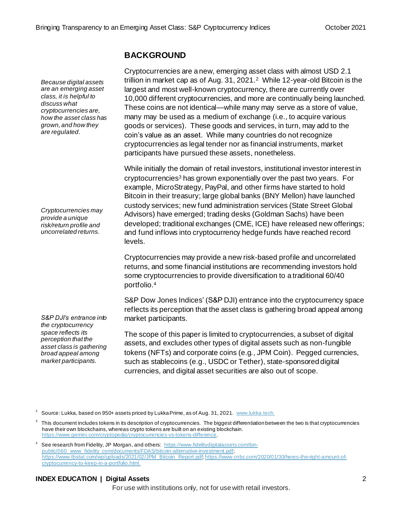# **BACKGROUND**

Cryptocurrencies are a new, emerging asset class with almost USD 2.1 trillion in market cap as of Aug. 31, 2021.<sup>2</sup> While 12-year-old Bitcoin is the largest and most well-known cryptocurrency, there are currently over 10,000 different cryptocurrencies, and more are continually being launched. These coins are not identical—while many may serve as a store of value, many may be used as a medium of exchange (i.e., to acquire various goods or services). These goods and services, in turn, may add to the coin's value as an asset. While many countries do not recognize cryptocurrencies as legal tender nor as financial instruments, market participants have pursued these assets, nonetheless.

While initially the domain of retail investors, institutional investor interest in cryptocurrencies<sup>3</sup> has grown exponentially over the past two years. For example, MicroStrategy, PayPal, and other firms have started to hold Bitcoin in their treasury; large global banks (BNY Mellon) have launched custody services; new fund administration services (State Street Global Advisors) have emerged; trading desks (Goldman Sachs) have been developed; traditional exchanges (CME, ICE) have released new offerings; and fund inflows into cryptocurrency hedge funds have reached record levels.

Cryptocurrencies may provide a new risk-based profile and uncorrelated returns, and some financial institutions are recommending investors hold some cryptocurrencies to provide diversification to a traditional 60/40 portfolio.<sup>4</sup>

S&P Dow Jones Indices' (S&P DJI) entrance into the cryptocurrency space reflects its perception that the asset class is gathering broad appeal among market participants.

The scope of this paper is limited to cryptocurrencies, a subset of digital assets, and excludes other types of digital assets such as non-fungible tokens (NFTs) and corporate coins (e.g., JPM Coin). Pegged currencies, such as stablecoins (e.g., USDC or Tether), state-sponsored digital currencies, and digital asset securities are also out of scope.

#### **INDEX EDUCATION | Digital Assets** 2

For use with institutions only, not for use with retail investors.

*Because digital assets are an emerging asset class, it is helpful to discuss what cryptocurrencies are, how the asset class has grown, and how they are regulated.*

*Cryptocurrencies may provide a unique risk/return profile and uncorrelated returns.*

*S&P DJI's entrance into the cryptocurrency space reflects its perception that the asset class is gathering broad appeal among market participants.*

Source: Lukka, based on 950+ assets priced by Lukka Prime, as of Aug. 31, 2021. [www.lukka.tech](http://www.lukka.tech/).

 $3$  This document includes tokens in its description of cryptocurrencies. The biggest differentiation between the two is that cryptocurrencies have their own blockchains, whereas crypto tokens are built on an existing blockchain. <https://www.gemini.com/cryptopedia/cryptocurrencies-vs-tokens-difference>.

<sup>4</sup> See research from Fidelity, JP Morgan, and others[: https://www.fidelitydigitalassets.com/bin](https://www.fidelitydigitalassets.com/bin-public/060_www_fidelity_com/documents/FDAS/bitcoin-alternative-investment.pdf)[public/060\\_www\\_fidelity\\_com/documents/FDAS/bitcoin-alternative-investment.pdf](https://www.fidelitydigitalassets.com/bin-public/060_www_fidelity_com/documents/FDAS/bitcoin-alternative-investment.pdf); [https://www.tbstat.com/wp/uploads/2021/02/JPM\\_Bitcoin\\_Report.pd](https://www.tbstat.com/wp/uploads/2021/02/JPM_Bitcoin_Report.pdf)[f; https://www.cnbc.com/2020/01/30/heres-the-right-amount-of](https://www.cnbc.com/2020/01/30/heres-the-right-amount-of-cryptocurrency-to-keep-in-a-portfolio.html)[cryptocurrency-to-keep-in-a-portfolio.html](https://www.cnbc.com/2020/01/30/heres-the-right-amount-of-cryptocurrency-to-keep-in-a-portfolio.html).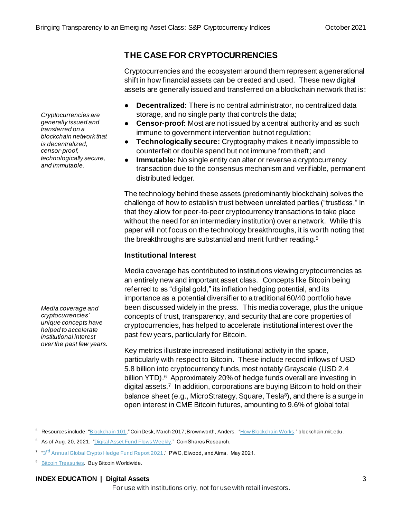# **THE CASE FOR CRYPTOCURRENCIES**

Cryptocurrencies and the ecosystem around them represent a generational shift in how financial assets can be created and used. These new digital assets are generally issued and transferred on a blockchain network that is:

- **Decentralized:** There is no central administrator, no centralized data storage, and no single party that controls the data;
- **Censor-proof:** Most are not issued by a central authority and as such immune to government intervention but not regulation;
- **Technologically secure:** Cryptography makes it nearly impossible to counterfeit or double spend but not immune from theft; and
- **Immutable:** No single entity can alter or reverse a cryptocurrency transaction due to the consensus mechanism and verifiable, permanent distributed ledger.

The technology behind these assets (predominantly blockchain) solves the challenge of how to establish trust between unrelated parties ("trustless," in that they allow for peer-to-peer cryptocurrency transactions to take place without the need for an intermediary institution) over a network. While this paper will not focus on the technology breakthroughs, it is worth noting that the breakthroughs are substantial and merit further reading.<sup>5</sup>

#### **Institutional Interest**

Media coverage has contributed to institutions viewing cryptocurrencies as an entirely new and important asset class. Concepts like Bitcoin being referred to as "digital gold," its inflation hedging potential, and its importance as a potential diversifier to a traditional 60/40 portfolio have been discussed widely in the press. This media coverage, plus the unique concepts of trust, transparency, and security that are core properties of cryptocurrencies, has helped to accelerate institutional interest over the past few years, particularly for Bitcoin.

Key metrics illustrate increased institutional activity in the space, particularly with respect to Bitcoin. These include record inflows of USD 5.8 billion into cryptocurrency funds, most notably Grayscale (USD 2.4 billion YTD). 6 Approximately 20% of hedge funds overall are investing in digital assets.<sup>7</sup> In addition, corporations are buying Bitcoin to hold on their balance sheet (e.g., MicroStrategy, Square, Tesla<sup>8</sup>), and there is a surge in open interest in CME Bitcoin futures, amounting to 9.6% of global total

<sup>5</sup> Resources include: ["Blockchain 101](https://old.coindesk.com/learn/blockchain-101/what-is-blockchain-technology)," CoinDesk, March 2017; Brownworth, Anders. ["How Blockchain Works](http://blockchain.mit.edu/how-blockchain-works)," blockchain.mit.edu.

- <sup>6</sup> As of Aug. 20, 2021. *["Digital Asset Fund Flows Weekly](https://coinshares.com/research/digital-asset-fund-flows)."* CoinShares Research.
- <sup>7</sup> "3<sup>rd</sup> [Annual Global Crypto Hedge Fund Report 2021](https://www.pwc.com/gx/en/financial-services/pdf/3rd-annual-pwc-elwood-aima-crypto-hedge-fund-report-(may-2021).pdf)." PWC, Elwood, and Aima. May 2021.
- 8 **Bitcoin [Treasuries.](https://www.buybitcoinworldwide.com/treasuries/) Buy Bitcoin Worldwide.**

#### **INDEX EDUCATION | Digital Assets** 3

For use with institutions only, not for use with retail investors.

*transferred on a blockchain network that is decentralized, censor-proof, technologically secure, and immutable.*

*Cryptocurrencies are generally issued and* 

*Media coverage and cryptocurrencies' unique concepts have helped to accelerate institutional interest over the past few years.*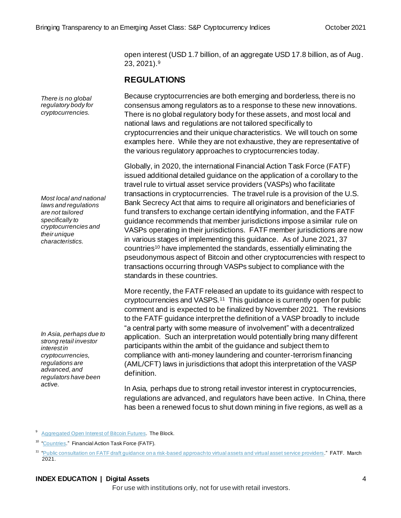open interest (USD 1.7 billion, of an aggregate USD 17.8 billion, as of Aug. 23, 2021).<sup>9</sup>

# **REGULATIONS**

Because cryptocurrencies are both emerging and borderless, there is no consensus among regulators as to a response to these new innovations. There is no global regulatory body for these assets, and most local and national laws and regulations are not tailored specifically to cryptocurrencies and their unique characteristics. We will touch on some examples here. While they are not exhaustive, they are representative of the various regulatory approaches to cryptocurrencies today.

Globally, in 2020, the international Financial Action Task Force (FATF) issued additional detailed guidance on the application of a corollary to the travel rule to virtual asset service providers (VASPs) who facilitate transactions in cryptocurrencies. The travel rule is a provision of the U.S. Bank Secrecy Act that aims to require all originators and beneficiaries of fund transfers to exchange certain identifying information, and the FATF guidance recommends that member jurisdictions impose a similar rule on VASPs operating in their jurisdictions. FATF member jurisdictions are now in various stages of implementing this guidance. As of June 2021, 37 countries<sup>10</sup> have implemented the standards, essentially eliminating the pseudonymous aspect of Bitcoin and other cryptocurrencies with respect to transactions occurring through VASPs subject to compliance with the standards in these countries.

More recently, the FATF released an update to its guidance with respect to cryptocurrencies and VASPS.<sup>11</sup> This guidance is currently open for public comment and is expected to be finalized by November 2021. The revisions to the FATF guidance interpret the definition of a VASP broadly to include "a central party with some measure of involvement" with a decentralized application. Such an interpretation would potentially bring many different participants within the ambit of the guidance and subject them to compliance with anti-money laundering and counter-terrorism financing (AML/CFT) laws in jurisdictions that adopt this interpretation of the VASP definition.

In Asia, perhaps due to strong retail investor interest in cryptocurrencies, regulations are advanced, and regulators have been active. In China, there has been a renewed focus to shut down mining in five regions, as well as a

<sup>9</sup> [Aggregated Open Interest of Bitcoin](https://www.theblockcrypto.com/data/crypto-markets/futures/aggregated-open-interest-of-bitcoin-futures-daily) Futures. The Block.

#### **INDEX EDUCATION | Digital Assets** 4

For use with institutions only, not for use with retail investors.

*Most local and national laws and regulations are not tailored specifically to cryptocurrencies and their unique characteristics.*

*There is no global regulatory body for cryptocurrencies.*

*In Asia, perhaps due to strong retail investor interest in cryptocurrencies, regulations are advanced, and regulators have been active.*

[<sup>&</sup>quot;Countries.](http://www.fatf-gafi.org/countries/)" Financial Action Task Force (FATF).

<sup>&</sup>lt;sup>11</sup> ["Public consultation on FATF draft guidance on a risk-based approach to virtual assets and virtual asset service providers](https://www.fatf-gafi.org/publications/fatfrecommendations/documents/public-consultation-guidance-vasp.html)." FATF. March 2021.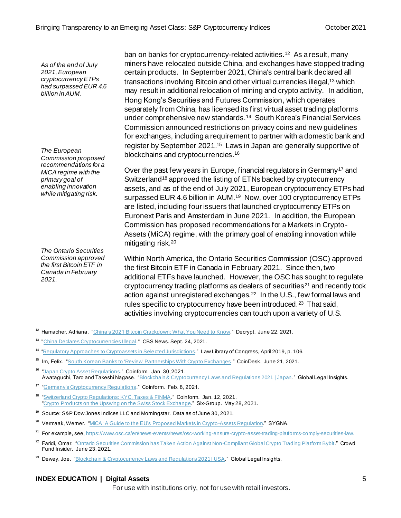*As of the end of July 2021, European cryptocurrency ETPs had surpassed EUR 4.6 billion in AUM.*

*The European Commission proposed recommendations for a MiCA regime with the primary goal of enabling innovation while mitigating risk.*

*The Ontario Securities Commission approved the first Bitcoin ETF in Canada in February 2021.*

ban on banks for cryptocurrency-related activities.<sup>12</sup> As a result, many miners have relocated outside China, and exchanges have stopped trading certain products. In September 2021, China's central bank declared all transactions involving Bitcoin and other virtual currencies illegal, <sup>13</sup> which may result in additional relocation of mining and crypto activity. In addition, Hong Kong's Securities and Futures Commission, which operates separately from China, has licensed its first virtual asset trading platforms under comprehensive new standards. <sup>14</sup> South Korea's Financial Services Commission announced restrictions on privacy coins and new guidelines for exchanges, including a requirement to partner with a domestic bank and register by September 2021. 15 Laws in Japan are generally supportive of blockchains and cryptocurrencies.<sup>16</sup>

Over the past few years in Europe, financial regulators in Germany<sup>17</sup> and Switzerland<sup>18</sup> approved the listing of ETNs backed by cryptocurrency assets, and as of the end of July 2021, European cryptocurrency ETPs had surpassed EUR 4.6 billion in AUM.<sup>19</sup> Now, over 100 cryptocurrency ETPs are listed, including four issuers that launched cryptocurrency ETPs on Euronext Paris and Amsterdam in June 2021. In addition, the European Commission has proposed recommendations for a Markets in Crypto-Assets (MiCA) regime, with the primary goal of enabling innovation while mitigating risk.<sup>20</sup>

Within North America, the Ontario Securities Commission (OSC) approved the first Bitcoin ETF in Canada in February 2021. Since then, two additional ETFs have launched. However, the OSC has sought to regulate cryptocurrency trading platforms as dealers of securities<sup>21</sup> and recently took action against unregistered exchanges.<sup>22</sup> In the U.S., few formal laws and rules specific to cryptocurrency have been introduced.<sup>23</sup> That said, activities involving cryptocurrencies can touch upon a variety of U.S.

- <sup>12</sup> Hamacher, Adriana. "China's 2021 Bitcoin [Crackdown: What You Need to Know](https://decrypt.co/74187/chinas-2021-bitcoin-crackdown-what-you-need-know)." Decrypt. June 22, 2021.
- <sup>13</sup> ["China Declares Cryptocurrencies Illegal."](https://www.cbsnews.com/news/china-declares-cryptocurrencies-illegal/) CBS News. Sept. 24, 2021.
- <sup>14</sup> ["Regulatory Approaches to Cryptoassets in Selected Jurisdictions](https://www.loc.gov/item/2019668148/)." Law Library of Congress, April 2019, p. 106.
- <sup>15</sup> Im, Felix. ["South Korean Banks to 'Review' Partnerships With Crypto Exchanges](https://www.coindesk.com/south-korea-banks-review-partnerships-crypto-exchanges)." CoinDesk. June 21, 2021.
- <sup>16</sup> ["Japan Crypto Asset Regulations](https://www.coinfirm.com/blog/japan-crypto-asset-regulations/)." Coinform. Jan. 30, 2021. Awataguchi, Taro and Takeshi Nagase. ["Blockchain & Cryptocurrency Laws and Regulations 2021 | Japan](https://www.globallegalinsights.com/practice-areas/blockchain-laws-and-regulations/japan#chaptercontent4)." Global Legal Insights.
- <sup>17</sup> ["Germany's Cryptocurrency Regulations](https://www.coinfirm.com/blog/german-cryptocurrency-regulations/)." Coinform. Feb. 8, 2021.
- <sup>18</sup> ["Switzerland Crypto Regulations: KYC, Taxes & FINMA.](https://www.coinfirm.com/blog/switzerland-crypto-regulations/)" Coinform. Jan. 12, 2021. ["Crypto Products on the Upswing on the Swiss Stock Exchange](https://www.six-group.com/en/newsroom/news/the-swiss-stock-exchange/2021/crypto-products-on-upswing.html)." Six-Group. May 28, 2021.
- <sup>19</sup> Source: S&P Dow Jones Indices LLC and Morningstar. Data as of June 30, 2021.
- <sup>20</sup> Vermaak, Werner. ["MiCA: A Guide to the EU's Proposed Markets in Crypto-Assets Regulation](https://www.sygna.io/blog/what-is-mica-markets-in-crypto-assets-eu-regulation-guide/)." SYGNA.
- <sup>21</sup> For example, see[, https://www.osc.ca/en/news-events/news/osc-working-ensure-crypto-asset-trading-platforms-comply-securities-law](https://www.osc.ca/en/news-events/news/osc-working-ensure-crypto-asset-trading-platforms-comply-securities-law).
- Faridi, Omar. ["Ontario Securities Commission has Taken Action Against Non-Compliant Global Crypto Trading Platform Bybit](https://www.crowdfundinsider.com/2021/06/176953-ontario-securities-commission-has-taken-action-against-non-compliant-global-crypto-trading-platform-bybit/)." Crowd Fund Insider. June 23, 2021.
- <sup>23</sup> Dewey, Joe. "Blockchain & Cryptocurrency [Laws and Regulations 2021 | USA](https://www.globallegalinsights.com/practice-areas/blockchain-laws-and-regulations/usa)." Global Legal Insights.

#### **INDEX EDUCATION | Digital Assets** 5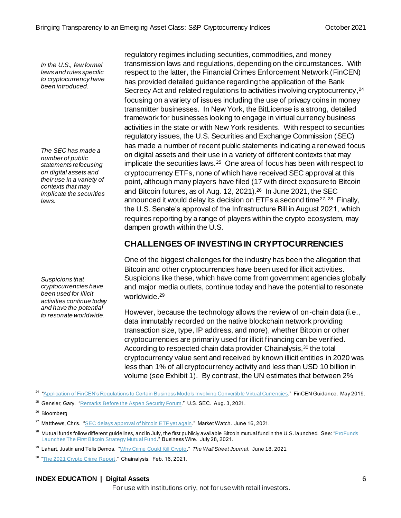*In the U.S., few formal laws and rules specific to cryptocurrency have been introduced.*

*The SEC has made a number of public statements refocusing on digital assets and their use in a variety of contexts that may implicate the securities laws.*

*Suspicions that cryptocurrencies have been used for illicit activities continue today and have the potential to resonate worldwide.*

regulatory regimes including securities, commodities, and money transmission laws and regulations, depending on the circumstances. With respect to the latter, the Financial Crimes Enforcement Network (FinCEN) has provided detailed guidance regarding the application of the Bank Secrecy Act and related regulations to activities involving cryptocurrency, 24 focusing on a variety of issues including the use of privacy coins in money transmitter businesses. In New York, the BitLicense is a strong, detailed framework for businesses looking to engage in virtual currency business activities in the state or with New York residents. With respect to securities regulatory issues, the U.S. Securities and Exchange Commission (SEC) has made a number of recent public statements indicating a renewed focus on digital assets and their use in a variety of different contexts that may implicate the securities laws.<sup>25</sup> One area of focus has been with respect to cryptocurrency ETFs, none of which have received SEC approval at this point, although many players have filed (17 with direct exposure to Bitcoin and Bitcoin futures, as of Aug. 12, 2021).<sup>26</sup> In June 2021, the SEC announced it would delay its decision on ETFs a second time<sup>27, 28</sup> Finally, the U.S. Senate's approval of the Infrastructure Bill in August 2021, which requires reporting by a range of players within the crypto ecosystem, may dampen growth within the U.S.

# **CHALLENGES OF INVESTING IN CRYPTOCURRENCIES**

One of the biggest challenges for the industry has been the allegation that Bitcoin and other cryptocurrencies have been used for illicit activities. Suspicions like these, which have come from government agencies globally and major media outlets, continue today and have the potential to resonate worldwide. 29

However, because the technology allows the review of on-chain data (i.e., data immutably recorded on the native blockchain network providing transaction size, type, IP address, and more), whether Bitcoin or other cryptocurrencies are primarily used for illicit financing can be verified. According to respected chain data provider Chainalysis,<sup>30</sup> the total cryptocurrency value sent and received by known illicit entities in 2020 was less than 1% of all cryptocurrency activity and less than USD 10 billion in volume (see Exhibit 1). By contrast, the UN estimates that between 2%

- <sup>27</sup> Matthews, Chris. ["SEC delays approval of bitcoin](https://www.marketwatch.com/story/sec-delays-approval-of-bitcoin-etf-yet-again-11623876619) ETF yet again." Market Watch. June 16, 2021.
- $^{28}$  Mutual funds follow different guidelines, and in July, the first publicly available Bitcoin mutual fund in the U.S. launched. See: "ProFunds [Launches The First Bitcoin](https://www.businesswire.com/news/home/20210728005580/en/ProFunds-Launches-The-First-Bitcoin-Strategy-Mutual-Fund) Strategy Mutual Fund." Business Wire. July 28, 2021.
- <sup>29</sup> Lahart, Justin and Telis Demos. ["Why Crime Could Kill Crypto.](https://www.wsj.com/articles/why-crime-could-kill-crypto-11624008655)" *The Wall Street Journal*. June 18, 2021.

<sup>30</sup> ["The 2021 Crypto Crime Report.](https://go.chainalysis.com/rs/503-FAP-074/images/Chainalysis-Crypto-Crime-2021.pdf)" Chainalysis. Feb. 16, 2021.

#### **INDEX EDUCATION | Digital Assets** 6

<sup>&</sup>lt;sup>24</sup> ["Application of FinCEN's Regulations to Certain Business Models Involving Convertible Virtual Currencies](https://www.fincen.gov/sites/default/files/2019-05/FinCEN%20Guidance%20CVC%20FINAL%20508.pdf)." FinCEN Guidance. May 2019.

<sup>&</sup>lt;sup>25</sup> Gensler, Gary. ["Remarks Before the Aspen Security Forum](https://www.sec.gov/news/public-statement/gensler-aspen-security-forum-2021-08-03)." U.S. SEC. Aug. 3, 2021.

<sup>26</sup> Bloomberg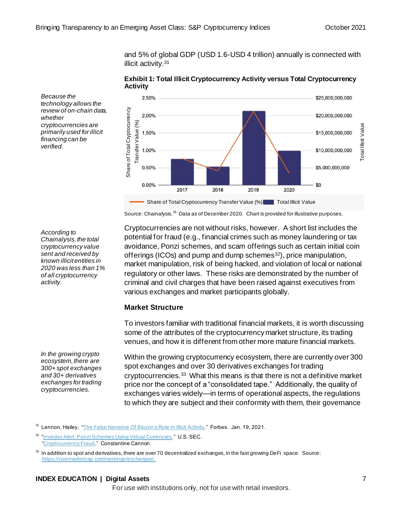and 5% of global GDP (USD 1.6-USD 4 trillion) annually is connected with illicit activity.<sup>31</sup>

**Exhibit 1: Total Illicit Cryptocurrency Activity versus Total Cryptocurrency Activity**



Source: Chainalysis.<sup>29</sup> Data as of December 2020. Chart is provided for illustrative purposes.

*Because the technology allows the review of on-chain data, whether cryptocurrencies are primarily used for illicit financing can be verified.*

*According to Chainalysis, the total cryptocurrency value sent and received by known illicit entities in 2020 was less than 1% of all cryptocurrency activity.*

*In the growing crypto ecosystem, there are 300+ spot exchanges and 30+ derivatives exchanges for trading cryptocurrencies.*

Cryptocurrencies are not without risks, however. A short list includes the potential for fraud (e.g., financial crimes such as money laundering or tax avoidance, Ponzi schemes, and scam offerings such as certain initial coin offerings (ICOs) and pump and dump schemes $^{32}$ ), price manipulation, market manipulation, risk of being hacked, and violation of local or national regulatory or other laws. These risks are demonstrated by the number of criminal and civil charges that have been raised against executives from various exchanges and market participants globally.

#### **Market Structure**

To investors familiar with traditional financial markets, it is worth discussing some of the attributes of the cryptocurrency market structure, its trading venues, and how it is different from other more mature financial markets.

Within the growing cryptocurrency ecosystem, there are currently over 300 spot exchanges and over 30 derivatives exchanges for trading cryptocurrencies.<sup>33</sup> What this means is that there is not a definitive market price nor the concept of a "consolidated tape." Additionally, the quality of exchanges varies widely—in terms of operational aspects, the regulations to which they are subject and their conformity with them, their governance

#### **INDEX EDUCATION | Digital Assets** 7

Lennon, Hailey. ["The False Narrative Of Bitcoin's Role In Illicit Activity.](https://www.forbes.com/sites/haileylennon/2021/01/19/the-false-narrative-of-bitcoins-role-in-illicit-activity/?sh=24d5f35f3432)" Forbes. Jan. 19, 2021.

<sup>32</sup> ["Investor Alert: Ponzi Schemes Using Virtual Currencies.](https://www.sec.gov/files/ia_virtualcurrencies.pdf)" U.S. SEC. ["Cryptocurrency Fraud.](https://constantinecannon.com/practice/whistleblower/whistleblower-types/financial-investment-fraud/cryptocurrency-fraud/)" Constantine Cannon.

<sup>33</sup> In addition to spot and derivatives, there are over 70 decentralized exchanges, in the fast growing DeFi space. Source: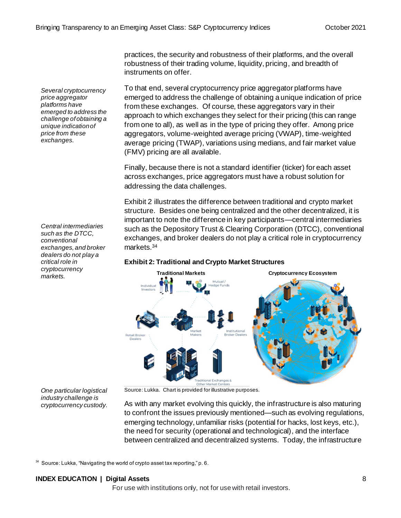*Several cryptocurrency price aggregator platforms have emerged to address the challenge of obtaining a unique indication of price from these exchanges.*

*Central intermediaries such as the DTCC, conventional exchanges, and broker dealers do not play a critical role in cryptocurrency markets.*

practices, the security and robustness of their platforms, and the overall robustness of their trading volume, liquidity, pricing, and breadth of instruments on offer.

To that end, several cryptocurrency price aggregator platforms have emerged to address the challenge of obtaining a unique indication of price from these exchanges. Of course, these aggregators vary in their approach to which exchanges they select for their pricing (this can range from one to all), as well as in the type of pricing they offer. Among price aggregators, volume-weighted average pricing (VWAP), time-weighted average pricing (TWAP), variations using medians, and fair market value (FMV) pricing are all available.

Finally, because there is not a standard identifier (ticker) for each asset across exchanges, price aggregators must have a robust solution for addressing the data challenges.

Exhibit 2 illustrates the difference between traditional and crypto market structure. Besides one being centralized and the other decentralized, it is important to note the difference in key participants—central intermediaries such as the Depository Trust & Clearing Corporation (DTCC), conventional exchanges, and broker dealers do not play a critical role in cryptocurrency markets.<sup>34</sup>

# **Exhibit 2: Traditional and Crypto Market Structures**



Source: Lukka. Chart is provided for illustrative purposes.

*One particular logistical industry challenge is cryptocurrency custody.*

As with any market evolving this quickly, the infrastructure is also maturing to confront the issues previously mentioned—such as evolving regulations, emerging technology, unfamiliar risks (potential for hacks, lost keys, etc.), the need for security (operational and technological), and the interface between centralized and decentralized systems. Today, the infrastructure

 $34$  Source: Lukka, "Navigating the world of crypto asset tax reporting," p. 6.

#### **INDEX EDUCATION | Digital Assets** 8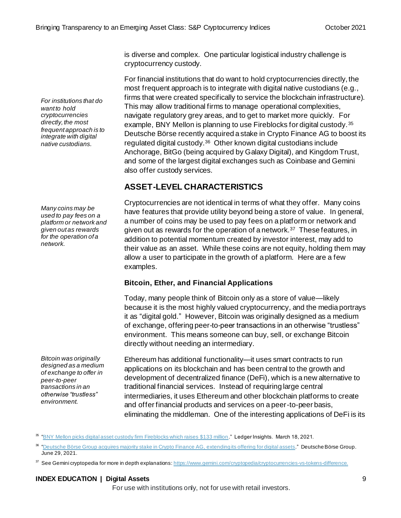is diverse and complex. One particular logistical industry challenge is cryptocurrency custody.

For financial institutions that do want to hold cryptocurrencies directly, the most frequent approach is to integrate with digital native custodians (e.g., firms that were created specifically to service the blockchain infrastructure). This may allow traditional firms to manage operational complexities, navigate regulatory grey areas, and to get to market more quickly. For example, BNY Mellon is planning to use Fireblocks for digital custody. <sup>35</sup> Deutsche Börse recently acquired a stake in Crypto Finance AG to boost its regulated digital custody.<sup>36</sup> Other known digital custodians include Anchorage, BitGo (being acquired by Galaxy Digital), and Kingdom Trust, and some of the largest digital exchanges such as Coinbase and Gemini also offer custody services.

# **ASSET-LEVEL CHARACTERISTICS**

Cryptocurrencies are not identical in terms of what they offer. Many coins have features that provide utility beyond being a store of value. In general, a number of coins may be used to pay fees on a platform or network and given out as rewards for the operation of a network.<sup>37</sup> These features, in addition to potential momentum created by investor interest, may add to their value as an asset. While these coins are not equity, holding them may allow a user to participate in the growth of a platform. Here are a few examples.

#### **Bitcoin, Ether, and Financial Applications**

Today, many people think of Bitcoin only as a store of value—likely because it is the most highly valued cryptocurrency, and the media portrays it as "digital gold." However, Bitcoin was originally designed as a medium of exchange, offering peer-to-peer transactions in an otherwise "trustless" environment. This means someone can buy, sell, or exchange Bitcoin directly without needing an intermediary.

Ethereum has additional functionality—it uses smart contracts to run applications on its blockchain and has been central to the growth and development of decentralized finance (DeFi), which is a new alternative to traditional financial services. Instead of requiring large central intermediaries, it uses Ethereum and other blockchain platforms to create and offer financial products and services on a peer-to-peer basis, eliminating the middleman. One of the interesting applications of DeFi is its

37 See Gemini cryptopedia for more in depth explanations: <https://www.gemini.com/cryptopedia/cryptocurrencies-vs-tokens-difference>.

#### **INDEX EDUCATION | Digital Assets** 9

For use with institutions only, not for use with retail investors.

*For institutions that do want to hold cryptocurrencies directly, the most frequent approach is to integrate with digital native custodians.*

*Many coins may be used to pay fees on a platform or network and given out as rewards for the operation of a network.*

*Bitcoin was originally designed as a medium of exchange to offer in peer-to-peer transactions in an otherwise "trustless" environment.*

<sup>35</sup> ["BNY Mellon picks digital asset custody firm Fireblocks which raises \\$133 million.](https://www.ledgerinsights.com/bny-mellon-picks-digital-asset-custody-firm-fireblocks-which-raises-133-million/)" Ledger Insights. March 18, 2021.

<sup>36</sup> ["Deutsche Börse Group acquires majority stake in Crypto Finance AG,](https://www.deutsche-boerse.com/dbg-en/media/press-releases/Deutsche-B-rse-Group-acquires-majority-stake-in-Crypto-Finance-AG-extending-its-offering-for-digital-assets-2699048) extending its offering for digital assets." Deutsche Börse Group. June 29, 2021.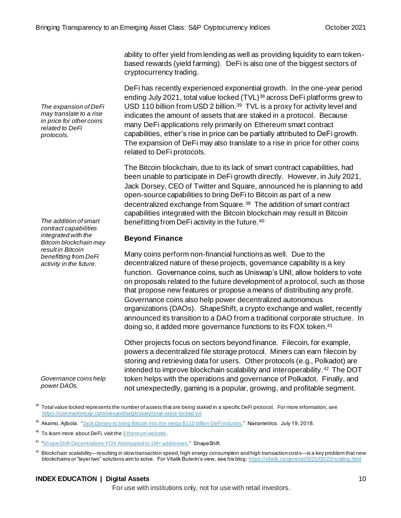ability to offer yield from lending as well as providing liquidity to earn tokenbased rewards (yield farming). DeFi is also one of the biggest sectors of cryptocurrency trading.

DeFi has recently experienced exponential growth. In the one-year period ending July 2021, total value locked (TVL)<sup>38</sup> across DeFi platforms grew to USD 110 billion from USD 2 billion.<sup>39</sup> TVL is a proxy for activity level and indicates the amount of assets that are staked in a protocol. Because many DeFi applications rely primarily on Ethereum smart contract capabilities, ether's rise in price can be partially attributed to DeFi growth. The expansion of DeFi may also translate to a rise in price for other coins related to DeFi protocols.

The Bitcoin blockchain, due to its lack of smart contract capabilities, had been unable to participate in DeFi growth directly. However, in July 2021, Jack Dorsey, CEO of Twitter and Square, announced he is planning to add open-source capabilities to bring DeFi to Bitcoin as part of a new decentralized exchange from Square.<sup>38</sup> The addition of smart contract capabilities integrated with the Bitcoin blockchain may result in Bitcoin benefitting from DeFi activity in the future.<sup>40</sup>

#### **Beyond Finance**

Many coins perform non-financial functions as well. Due to the decentralized nature of these projects, governance capability is a key function. Governance coins, such as Uniswap's UNI, allow holders to vote on proposals related to the future development of a protocol, such as those that propose new features or propose a means of distributing any profit. Governance coins also help power decentralized autonomous organizations (DAOs). ShapeShift, a crypto exchange and wallet, recently announced its transition to a DAO from a traditional corporate structure. In doing so, it added more governance functions to its FOX token.<sup>41</sup>

Other projects focus on sectors beyond finance. Filecoin, for example, powers a decentralized file storage protocol. Miners can earn filecoin by storing and retrieving data for users. Other protocols (e.g., Polkadot) are intended to improve blockchain scalability and interoperability.<sup>42</sup> The DOT token helps with the operations and governance of Polkadot. Finally, and not unexpectedly, gaming is a popular, growing, and profitable segment.

#### **INDEX EDUCATION | Digital Assets** 10

For use with institutions only, not for use with retail investors.

*The expansion of DeFi may translate to a rise in price for other coins related to DeFi protocols.*

*The addition of smart contract capabilities integrated with the Bitcoin blockchain may result in Bitcoin benefitting from DeFi activity in the future.*

*Governance coins help power DAOs.*

<sup>38</sup> Total value locked represents the number of assets that are being staked in a specific DeFi protocol. For more information, see <https://coinmarketcap.com/alexandria/glossary/total-value-locked-tvl>.

<sup>&</sup>lt;sup>39</sup> Akamo, Ajibola. "Jack Dorsey to bring Bitcoin [into the mega \\$110 billion DeFi industry.](https://nairametrics.com/2021/07/18/jack-dorsey-to-bring-bitcoin-into-the-mega-110-billion-defi-industry/)" Nairametrics. July 19, 2018.

<sup>&</sup>lt;sup>40</sup> To learn more about DeFi, visit the **Ethereum website**.

<sup>41</sup> ["ShapeShift Decentralizes: FOX Airdropped to 1M+ addresses](https://shapeshift.com/shapeshift-decentralize-airdrop)." ShapeShift.

 $42$  Blockchain scalability—resulting in slow transaction speed, high energy consumption and high transaction costs—is a key problem that new blockchains or "layer two" solutions aim to solve. For Vitalik Buterin's view, see his blog: <https://vitalik.ca/general/2021/05/23/scaling.html>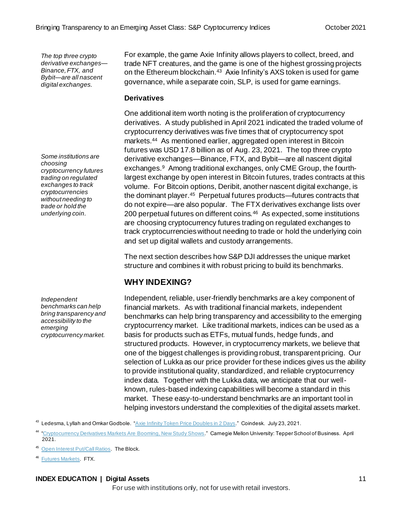*The top three crypto derivative exchanges— Binance, FTX, and Bybit—are all nascent digital exchanges.*

*Some institutions are choosing cryptocurrency futures trading on regulated exchanges to track cryptocurrencies without needing to trade or hold the underlying coin.*

*Independent benchmarks can help bring transparency and accessibility to the emerging cryptocurrency market.*

For example, the game Axie Infinity allows players to collect, breed, and trade NFT creatures, and the game is one of the highest grossing projects on the Ethereum blockchain.<sup>43</sup> Axie Infinity's AXS token is used for game governance, while a separate coin, SLP, is used for game earnings.

#### **Derivatives**

One additional item worth noting is the proliferation of cryptocurrency derivatives. A study published in April 2021 indicated the traded volume of cryptocurrency derivatives was five times that of cryptocurrency spot markets.<sup>44</sup> As mentioned earlier, aggregated open interest in Bitcoin futures was USD 17.8 billion as of Aug. 23, 2021. The top three crypto derivative exchanges—Binance, FTX, and Bybit—are all nascent digital exchanges.<sup>9</sup> Among traditional exchanges, only CME Group, the fourthlargest exchange by open interest in Bitcoin futures, trades contracts at this volume. For Bitcoin options, Deribit, another nascent digital exchange, is the dominant player.<sup>45</sup> Perpetual futures products—futures contracts that do not expire—are also popular. The FTX derivatives exchange lists over 200 perpetual futures on different coins.<sup>46</sup> As expected, some institutions are choosing cryptocurrency futures trading on regulated exchanges to track cryptocurrencies without needing to trade or hold the underlying coin and set up digital wallets and custody arrangements.

The next section describes how S&P DJI addresses the unique market structure and combines it with robust pricing to build its benchmarks.

# **WHY INDEXING?**

Independent, reliable, user-friendly benchmarks are a key component of financial markets. As with traditional financial markets, independent benchmarks can help bring transparency and accessibility to the emerging cryptocurrency market. Like traditional markets, indices can be used as a basis for products such as ETFs, mutual funds, hedge funds, and structured products. However, in cryptocurrency markets, we believe that one of the biggest challenges is providing robust, transparent pricing. Our selection of Lukka as our price provider for these indices gives us the ability to provide institutional quality, standardized, and reliable cryptocurrency index data. Together with the Lukka data, we anticipate that our wellknown, rules-based indexing capabilities will become a standard in this market. These easy-to-understand benchmarks are an important tool in helping investors understand the complexities of the digital assets market.

- <sup>43</sup> Ledesma, Lyllah and Omkar Godbole. ["Axie Infinity Token Price Doubles in 2 Days.](https://www.coindesk.com/axie-infinity-token-price-doubles-in-two-days)" Coindesk. July 23, 2021.
- <sup>44</sup> ["Cryptocurrency Derivatives Markets Are Booming, New Study Shows](https://www.cmu.edu/tepper/news/stories/2021/april/cryptocurrency-derivatives.html)." Carnegie Mellon University: Tepper School of Business. April 2021.

<sup>45</sup> [Open Interest Put/Call Ratios](https://www.theblockcrypto.com/data/crypto-markets/options). The Block.

<sup>46</sup> [Futures Markets.](https://ftx.com/markets/futures) FTX.

#### **INDEX EDUCATION | Digital Assets** 11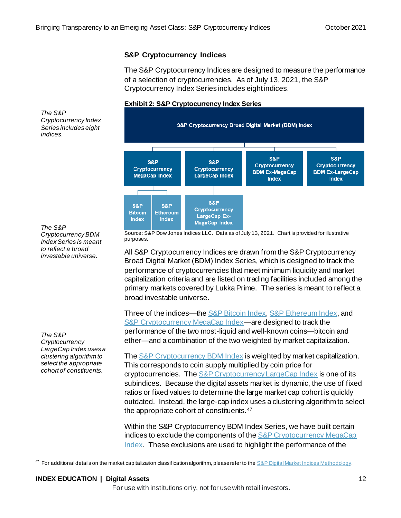#### **S&P Cryptocurrency Indices**

The S&P Cryptocurrency Indices are designed to measure the performance of a selection of cryptocurrencies. As of July 13, 2021, the S&P Cryptocurrency Index Series includes eight indices.

#### **Exhibit 2: S&P Cryptocurrency Index Series**



*The S&P Cryptocurrency Index Series includes eight indices.*

*The S&P Cryptocurrency BDM Index Series is meant to reflect a broad investable universe.*

*The S&P Cryptocurrency LargeCap Index uses a clustering algorithm to select the appropriate cohort of constituents.*

Source: S&P Dow Jones Indices LLC. Data as of July 13, 2021. Chart is provided for illustrative purposes.

All S&P Cryptocurrency Indices are drawn from the S&P Cryptocurrency Broad Digital Market (BDM) Index Series, which is designed to track the performance of cryptocurrencies that meet minimum liquidity and market capitalization criteria and are listed on trading facilities included among the primary markets covered by Lukka Prime. The series is meant to reflect a broad investable universe.

Three of the indices—th[e S&P Bitcoin](https://www.spglobal.com/spdji/en/indices/digital-assets/sp-bitcoin-index/?utm_source=pdf_education) Index[, S&P Ethereum](https://www.spglobal.com/spdji/en/indices/digital-assets/sp-ethereum-index/?utm_source=pdf_education) Index, and [S&P Cryptocurrency MegaCap Index](https://www.spglobal.com/spdji/en/indices/digital-assets/sp-cryptocurrency-megacap-index/?utm_source=pdf_education)—are designed to track the performance of the two most-liquid and well-known coins—bitcoin and ether—and a combination of the two weighted by market capitalization.

Th[e S&P Cryptocurrency](https://www.spglobal.com/spdji/en/indices/digital-assets/sp-cryptocurrency-broad-digital-market-index/?utm_source=pdf_education) BDM Index is weighted by market capitalization. This corresponds to coin supply multiplied by coin price for cryptocurrencies. Th[e S&P Cryptocurrency LargeCap Index](https://www.spglobal.com/spdji/en/indices/digital-assets/sp-cryptocurrency-largecap-index?utm_source=pdf_education) is one of its subindices. Because the digital assets market is dynamic, the use of fixed ratios or fixed values to determine the large market cap cohort is quickly outdated. Instead, the large-cap index uses a clustering algorithm to select the appropriate cohort of constituents.<sup>47</sup>

Within the S&P Cryptocurrency BDM Index Series, we have built certain indices to exclude the components of the S&P Cryptocurrency MegaCap [Index.](https://www.spglobal.com/spdji/en/indices/digital-assets/sp-cryptocurrency-megacap-index/?utm_source=pdf_education) These exclusions are used to highlight the performance of the

<sup>47</sup> For additional details on the market capitalization classification algorithm, please refer to th[e S&P Digital Market Indices Methodology](https://www.spglobal.com/spdji/en/documents/methodologies/methodology-sp-digital-market-indices.pdf?utm_source=pdf_education).

#### **INDEX EDUCATION | Digital Assets** 12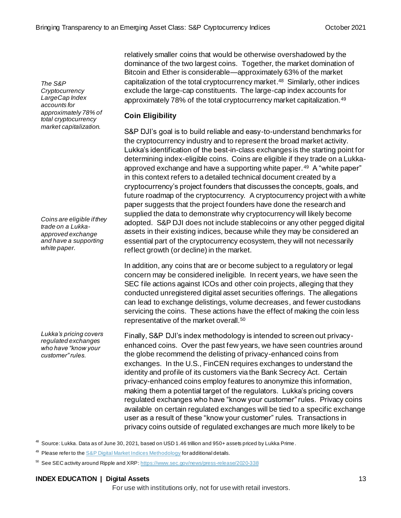*The S&P Cryptocurrency LargeCap Index accounts for approximately 78% of total cryptocurrency market capitalization.*

*Coins are eligible if they trade on a Lukkaapproved exchange and have a supporting white paper.*

*Lukka's pricing covers regulated exchanges who have "know your customer" rules.*

relatively smaller coins that would be otherwise overshadowed by the dominance of the two largest coins. Together, the market domination of Bitcoin and Ether is considerable—approximately 63% of the market capitalization of the total cryptocurrency market. <sup>48</sup> Similarly, other indices exclude the large-cap constituents. The large-cap index accounts for approximately 78% of the total cryptocurrency market capitalization.<sup>49</sup>

### **Coin Eligibility**

S&P DJI's goal is to build reliable and easy-to-understand benchmarks for the cryptocurrency industry and to represent the broad market activity. Lukka's identification of the best-in-class exchanges is the starting point for determining index-eligible coins. Coins are eligible if they trade on a Lukkaapproved exchange and have a supporting white paper.<sup>49</sup> A "white paper" in this context refers to a detailed technical document created by a cryptocurrency's project founders that discusses the concepts, goals, and future roadmap of the cryptocurrency. A cryptocurrency project with a white paper suggests that the project founders have done the research and supplied the data to demonstrate why cryptocurrency will likely become adopted. S&P DJI does not include stablecoins or any other pegged digital assets in their existing indices, because while they may be considered an essential part of the cryptocurrency ecosystem, they will not necessarily reflect growth (or decline) in the market.

In addition, any coins that are or become subject to a regulatory or legal concern may be considered ineligible. In recent years, we have seen the SEC file actions against ICOs and other coin projects, alleging that they conducted unregistered digital asset securities offerings. The allegations can lead to exchange delistings, volume decreases, and fewer custodians servicing the coins. These actions have the effect of making the coin less representative of the market overall.<sup>50</sup>

Finally, S&P DJI's index methodology is intended to screen out privacyenhanced coins. Over the past few years, we have seen countries around the globe recommend the delisting of privacy-enhanced coins from exchanges. In the U.S., FinCEN requires exchanges to understand the identity and profile of its customers via the Bank Secrecy Act. Certain privacy-enhanced coins employ features to anonymize this information, making them a potential target of the regulators. Lukka's pricing covers regulated exchanges who have "know your customer" rules. Privacy coins available on certain regulated exchanges will be tied to a specific exchange user as a result of these "know your customer" rules. Transactions in privacy coins outside of regulated exchanges are much more likely to be

<sup>48</sup> Source: Lukka. Data as of June 30, 2021, based on USD 1.46 trillion and 950+ assets priced by Lukka Prime.

#### **INDEX EDUCATION | Digital Assets** 13

<sup>&</sup>lt;sup>49</sup> Please refer to the **S&P** Digital Market Indices Methodology for additional details.

<sup>50</sup> See SEC activity around Ripple and XRP: <https://www.sec.gov/news/press-release/2020-338>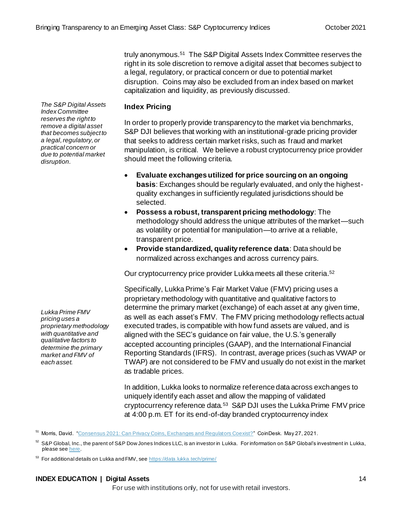truly anonymous.<sup>51</sup> The S&P Digital Assets Index Committee reserves the right in its sole discretion to remove a digital asset that becomes subject to a legal, regulatory, or practical concern or due to potential market disruption. Coins may also be excluded from an index based on market capitalization and liquidity, as previously discussed.

#### **Index Pricing**

In order to properly provide transparency to the market via benchmarks, S&P DJI believes that working with an institutional-grade pricing provider that seeks to address certain market risks, such as fraud and market manipulation, is critical. We believe a robust cryptocurrency price provider should meet the following criteria.

- **Evaluate exchanges utilized for price sourcing on an ongoing basis**: Exchanges should be regularly evaluated, and only the highestquality exchanges in sufficiently regulated jurisdictions should be selected.
- **Possess a robust, transparent pricing methodology**: The methodology should address the unique attributes of the market—such as volatility or potential for manipulation—to arrive at a reliable, transparent price.
- **Provide standardized, quality reference data**: Data should be normalized across exchanges and across currency pairs.

Our cryptocurrency price provider Lukka meets all these criteria. 52

Specifically, Lukka Prime's Fair Market Value (FMV) pricing uses a proprietary methodology with quantitative and qualitative factors to determine the primary market (exchange) of each asset at any given time, as well as each asset's FMV. The FMV pricing methodology reflects actual executed trades, is compatible with how fund assets are valued, and is aligned with the SEC's guidance on fair value, the U.S.'s generally accepted accounting principles (GAAP), and the International Financial Reporting Standards (IFRS). In contrast, average prices (such as VWAP or TWAP) are not considered to be FMV and usually do not exist in the market as tradable prices.

In addition, Lukka looks to normalize reference data across exchanges to uniquely identify each asset and allow the mapping of validated cryptocurrency reference data.<sup>53</sup> S&P DJI uses the Lukka Prime FMV price at 4:00 p.m. ET for its end-of-day branded cryptocurrency index

 $52$  S&P Global, Inc., the parent of S&P Dow Jones Indices LLC, is an investor in Lukka. For information on S&P Global's investment in Lukka, please se[e here.](https://news.lukka.tech/lukka-raises-additional-53-million-series-d/)

53 For additional details on Lukka and FMV, se[e https://data.lukka.tech/prime/](https://data.lukka.tech/prime/)

#### **INDEX EDUCATION | Digital Assets** 14

For use with institutions only, not for use with retail investors.

*Lukka Prime FMV pricing uses a proprietary methodology with quantitative and qualitative factors to determine the primary market and FMV of each asset.*

*The S&P Digital Assets Index Committee reserves the right to remove a digital asset that becomes subject to a legal, regulatory, or practical concern or due to potential market* 

*disruption.*

<sup>&</sup>lt;sup>51</sup> Morris, David. ["Consensus 2021: Can Privacy Coins, Exchanges and Regulators Coexist?](https://www.coindesk.com/can-exchanges-privacy-coins-coexist)" CoinDesk. May 27, 2021.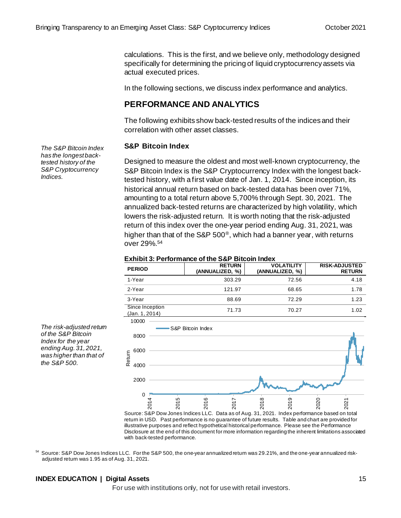calculations. This is the first, and we believe only, methodology designed specifically for determining the pricing of liquid cryptocurrency assets via actual executed prices.

In the following sections, we discuss index performance and analytics.

# **PERFORMANCE AND ANALYTICS**

The following exhibits show back-tested results of the indices and their correlation with other asset classes.

#### **S&P Bitcoin Index**

Designed to measure the oldest and most well-known cryptocurrency, the S&P Bitcoin Index is the S&P Cryptocurrency Index with the longest backtested history, with a first value date of Jan. 1, 2014. Since inception, its historical annual return based on back-tested data has been over 71%, amounting to a total return above 5,700% through Sept. 30, 2021. The annualized back-tested returns are characterized by high volatility, which lowers the risk-adjusted return. It is worth noting that the risk-adjusted return of this index over the one-year period ending Aug. 31, 2021, was higher than that of the S&P 500®, which had a banner year, with returns over 29%. 54

#### **Exhibit 3: Performance of the S&P Bitcoin Index**

| <b>PERIOD</b>                     | <b>RETURN</b><br>(ANNUALIZED, %) | <b>VOLATILITY</b><br>(ANNUALIZED, %) | <b>RISK-ADJUSTED</b><br><b>RETURN</b> |
|-----------------------------------|----------------------------------|--------------------------------------|---------------------------------------|
| 1-Year                            | 303.29                           | 72.56                                | 4.18                                  |
| 2-Year                            | 121.97                           | 68.65                                | 1.78                                  |
| 3-Year                            | 88.69                            | 72.29                                | 1.23                                  |
| Since Inception<br>(Jan. 1, 2014) | 71.73                            | 70.27                                | 1.02                                  |



Source: S&P Dow Jones Indices LLC. Data as of Aug. 31, 2021. Index performance based on total return in USD. Past performance is no guarantee of future results. Table and chart are provided for illustrative purposes and reflect hypothetical historical performance. Please see the Performance Disclosure at the end of this document for more information regarding the inherent limitations associated with back-tested performance.

54 Source: S&P Dow Jones Indices LLC. For the S&P 500, the one-year annualized return was 29.21%, and the one-year annualized riskadjusted return was 1.95 as of Aug. 31, 2021.

#### **INDEX EDUCATION | Digital Assets** 15

For use with institutions only, not for use with retail investors.

*The S&P Bitcoin Index has the longest backtested history of the S&P Cryptocurrency Indices.*

*The risk-adjusted return of the S&P Bitcoin Index for the year ending Aug. 31, 2021, was higher than that of* 

*the S&P 500.*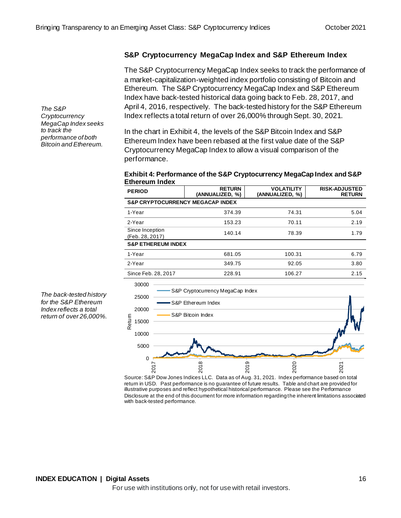#### **S&P Cryptocurrency MegaCap Index and S&P Ethereum Index**

The S&P Cryptocurrency MegaCap Index seeks to track the performance of a market-capitalization-weighted index portfolio consisting of Bitcoin and Ethereum. The S&P Cryptocurrency MegaCap Index and S&P Ethereum Index have back-tested historical data going back to Feb. 28, 2017, and April 4, 2016, respectively. The back-tested history for the S&P Ethereum Index reflects a total return of over 26,000% through Sept. 30, 2021.

In the chart in Exhibit 4, the levels of the S&P Bitcoin Index and S&P Ethereum Index have been rebased at the first value date of the S&P Cryptocurrency MegaCap Index to allow a visual comparison of the performance.

#### **Exhibit 4: Performance of the S&P Cryptocurrency MegaCap Index and S&P Ethereum Index**

| <b>PERIOD</b>                               | <b>RETURN</b><br>(ANNUALIZED, %) | <b>RISK-ADJUSTED</b><br><b>RETURN</b> |      |  |  |  |  |  |
|---------------------------------------------|----------------------------------|---------------------------------------|------|--|--|--|--|--|
| <b>S&amp;P CRYPTOCURRENCY MEGACAP INDEX</b> |                                  |                                       |      |  |  |  |  |  |
| 1-Year                                      | 374.39                           | 74.31                                 | 5.04 |  |  |  |  |  |
| 2-Year                                      | 153.23                           | 70.11                                 | 2.19 |  |  |  |  |  |
| Since Inception<br>(Feb. 28, 2017)          | 140.14                           | 78.39                                 | 1.79 |  |  |  |  |  |
| <b>S&amp;P ETHEREUM INDEX</b>               |                                  |                                       |      |  |  |  |  |  |
| 1-Year                                      | 681.05                           | 100.31                                | 6.79 |  |  |  |  |  |
| 2-Year                                      | 349.75                           | 92.05                                 | 3.80 |  |  |  |  |  |
| Since Feb. 28, 2017                         | 228.91                           | 106.27                                | 2.15 |  |  |  |  |  |





*The S&P Cryptocurrency MegaCap Index seeks to track the performance of both Bitcoin and Ethereum.*

*The back-tested history for the S&P Ethereum Index reflects a total return of over 26,000%.*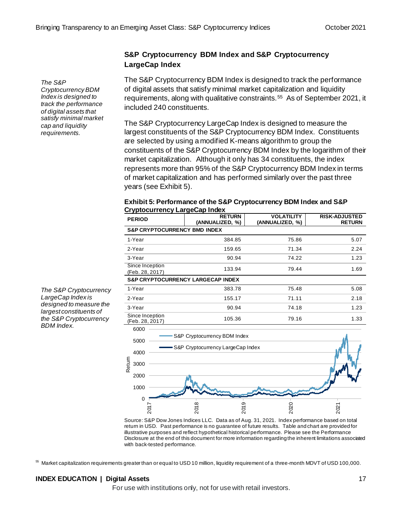#### **S&P Cryptocurrency BDM Index and S&P Cryptocurrency LargeCap Index**

The S&P Cryptocurrency BDM Index is designed to track the performance of digital assets that satisfy minimal market capitalization and liquidity requirements, along with qualitative constraints.<sup>55</sup> As of September 2021, it included 240 constituents.

The S&P Cryptocurrency LargeCap Index is designed to measure the largest constituents of the S&P Cryptocurrency BDM Index. Constituents are selected by using a modified K-means algorithm to group the constituents of the S&P Cryptocurrency BDM Index by the logarithm of their market capitalization. Although it only has 34 constituents, the index represents more than 95% of the S&P Cryptocurrency BDM Index in terms of market capitalization and has performed similarly over the past three years (see Exhibit 5).

#### **Exhibit 5: Performance of the S&P Cryptocurrency BDM Index and S&P Cryptocurrency LargeCap Index**

| <b>PERIOD</b>                           | <b>RETURN</b><br>(ANNUALIZED, %)             | <b>VOLATILITY</b><br>(ANNUALIZED, %) | <b>RISK-ADJUSTED</b><br><b>RETURN</b> |  |  |  |  |  |  |  |
|-----------------------------------------|----------------------------------------------|--------------------------------------|---------------------------------------|--|--|--|--|--|--|--|
| <b>S&amp;P CRYPTOCURRENCY BMD INDEX</b> |                                              |                                      |                                       |  |  |  |  |  |  |  |
| 1-Year                                  | 384.85                                       | 75.86                                | 5.07                                  |  |  |  |  |  |  |  |
| 2-Year                                  | 159.65                                       | 71.34                                | 2.24                                  |  |  |  |  |  |  |  |
| 3-Year                                  | 90.94                                        | 74.22                                | 1.23                                  |  |  |  |  |  |  |  |
| Since Inception<br>(Feb. 28, 2017)      | 133.94                                       | 79.44                                | 1.69                                  |  |  |  |  |  |  |  |
|                                         | <b>S&amp;P CRYPTOCURRENCY LARGECAP INDEX</b> |                                      |                                       |  |  |  |  |  |  |  |
| 1-Year                                  | 383.78                                       | 75.48                                | 5.08                                  |  |  |  |  |  |  |  |
| 2-Year                                  | 155.17                                       | 71.11                                | 2.18                                  |  |  |  |  |  |  |  |
| 3-Year                                  | 90.94                                        | 74.18                                | 1.23                                  |  |  |  |  |  |  |  |
| Since Inception<br>(Feb. 28, 2017)      | 105.36                                       | 79.16                                | 1.33                                  |  |  |  |  |  |  |  |
| 6000<br>5000                            | S&P Cryptocurrency BDM Index                 |                                      |                                       |  |  |  |  |  |  |  |
| 4000                                    | S&P Cryptocurrency LargeCap Index            |                                      |                                       |  |  |  |  |  |  |  |
| Retum<br>3000                           |                                              |                                      |                                       |  |  |  |  |  |  |  |
| 2000                                    |                                              |                                      |                                       |  |  |  |  |  |  |  |
| 1000                                    |                                              |                                      |                                       |  |  |  |  |  |  |  |
| 0<br>2017                               | 2019<br>2018                                 | 2020                                 | 2021                                  |  |  |  |  |  |  |  |
|                                         |                                              |                                      |                                       |  |  |  |  |  |  |  |

Source: S&P Dow Jones Indices LLC. Data as of Aug. 31, 2021. Index performance based on total return in USD. Past performance is no guarantee of future results. Table and chart are provided for illustrative purposes and reflect hypothetical historical performance. Please see the Performance Disclosure at the end of this document for more information regarding the inherent limitations associated with back-tested performance.

<sup>55</sup> Market capitalization requirements greater than or equal to USD 10 million, liquidity requirement of a three-month MDVT of USD 100,000.

#### **INDEX EDUCATION | Digital Assets** 17

For use with institutions only, not for use with retail investors.

*The S&P Cryptocurrency BDM Index is designed to track the performance of digital assets that satisfy minimal market cap and liquidity* 

*requirements.*

*The S&P Cryptocurrency LargeCap Index is designed to measure the largest constituents of the S&P Cryptocurrency BDM Index.*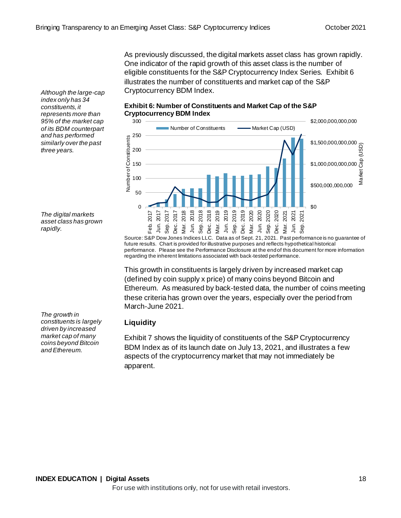As previously discussed, the digital markets asset class has grown rapidly. One indicator of the rapid growth of this asset class is the number of eligible constituents for the S&P Cryptocurrency Index Series. Exhibit 6 illustrates the number of constituents and market cap of the S&P Cryptocurrency BDM Index.

*Although the large-cap index only has 34 constituents, it represents more than 95% of the market cap of its BDM counterpart and has performed similarly over the past three years.*

*The digital markets asset class has grown rapidly.*

*The growth in constituents is largely driven by increased market cap of many coins beyond Bitcoin and Ethereum.*

#### **Exhibit 6: Number of Constituents and Market Cap of the S&P Cryptocurrency BDM Index**



Source: S&P Dow Jones Indices LLC. Data as of Sept. 21, 2021. Past performance is no guarantee of future results. Chart is provided for illustrative purposes and reflects hypothetical historical performance. Please see the Performance Disclosure at the end of this document for more information regarding the inherent limitations associated with back-tested performance.

This growth in constituents is largely driven by increased market cap (defined by coin supply x price) of many coins beyond Bitcoin and Ethereum. As measured by back-tested data, the number of coins meeting these criteria has grown over the years, especially over the period from March-June 2021.

# **Liquidity**

Exhibit 7 shows the liquidity of constituents of the S&P Cryptocurrency BDM Index as of its launch date on July 13, 2021, and illustrates a few aspects of the cryptocurrency market that may not immediately be apparent.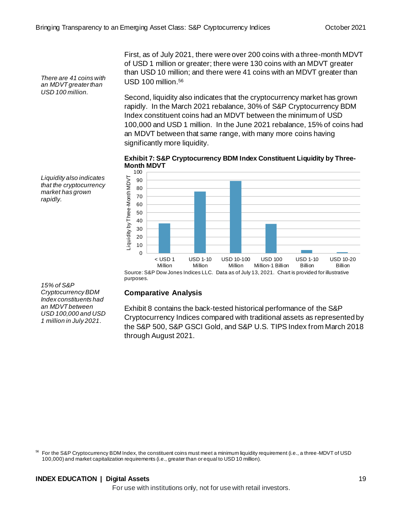*There are 41 coins with an MDVT greater than USD 100 million.*

First, as of July 2021, there were over 200 coins with a three-month MDVT of USD 1 million or greater; there were 130 coins with an MDVT greater than USD 10 million; and there were 41 coins with an MDVT greater than USD 100 million. 56

Second, liquidity also indicates that the cryptocurrency market has grown rapidly. In the March 2021 rebalance, 30% of S&P Cryptocurrency BDM Index constituent coins had an MDVT between the minimum of USD 100,000 and USD 1 million. In the June 2021 rebalance, 15% of coins had an MDVT between that same range, with many more coins having significantly more liquidity.

**Exhibit 7: S&P Cryptocurrency BDM Index Constituent Liquidity by Three-Month MDVT**



*Liquidity also indicates that the cryptocurrency market has grown rapidly.*

*15% of S&P Cryptocurrency BDM Index constituents had an MDVT between USD 100,000 and USD 1 million in July 2021.*

#### **Comparative Analysis**

Exhibit 8 contains the back-tested historical performance of the S&P Cryptocurrency Indices compared with traditional assets as represented by the S&P 500, S&P GSCI Gold, and S&P U.S. TIPS Index from March 2018 through August 2021.

<sup>56</sup> For the S&P Cryptocurrency BDM Index, the constituent coins must meet a minimum liquidity requirement (i.e., a three-MDVT of USD 100,000) and market capitalization requirements (i.e., greater than or equal to USD 10 million).

#### **INDEX EDUCATION | Digital Assets** 19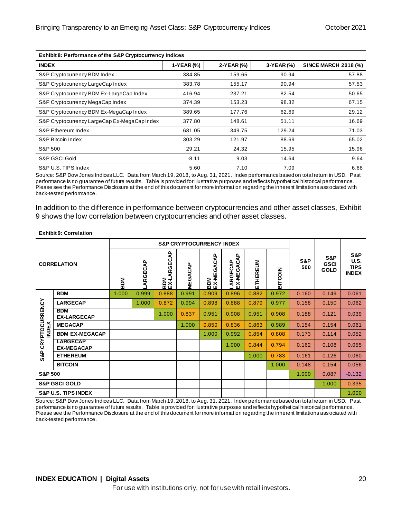| Exhibit 8: Performance of the S&P Cryptocurrency Indices |            |            |            |                             |  |  |  |
|----------------------------------------------------------|------------|------------|------------|-----------------------------|--|--|--|
| <b>INDEX</b>                                             | 1-YEAR (%) | 2-YEAR (%) | 3-YEAR (%) | <b>SINCE MARCH 2018 (%)</b> |  |  |  |
| S&P Cryptocurrency BDM Index                             | 384.85     | 159.65     | 90.94      | 57.88                       |  |  |  |
| S&P Cryptocurrency LargeCap Index                        | 383.78     | 155.17     | 90.94      | 57.53                       |  |  |  |
| S&P Cryptocurrency BDM Ex-LargeCap Index                 | 416.94     | 237.21     | 82.54      | 50.65                       |  |  |  |
| S&P Cryptocurrency MegaCap Index                         | 374.39     | 153.23     | 98.32      | 67.15                       |  |  |  |
| S&P Cryptocurrency BDM Ex-MegaCap Index                  | 389.65     | 177.76     | 62.69      | 29.12                       |  |  |  |
| S&P Cryptocurrency LargeCap Ex-MegaCap Index             | 377.80     | 148.61     | 51.11      | 16.69                       |  |  |  |
| S&P Ethereum Index                                       | 681.05     | 349.75     | 129.24     | 71.03                       |  |  |  |
| S&P Bitcoin Index                                        | 303.29     | 121.97     | 88.69      | 65.02                       |  |  |  |
| S&P 500                                                  | 29.21      | 24.32      | 15.95      | 15.96                       |  |  |  |
| S&P GSCI Gold                                            | $-8.11$    | 9.03       | 14.64      | 9.64                        |  |  |  |
| S&P U.S. TIPS Index                                      | 5.60       | 7.10       | 7.09       | 6.68                        |  |  |  |

Source: S&P Dow Jones Indices LLC. Data from March 19, 2018, to Aug. 31, 2021. Index performance based on total return in USD. Past performance is no guarantee of future results. Table is provided for illustrative purposes and reflects hypothetical historical performance. Please see the Performance Disclosure at the end of this document for more information regarding the inherent limitations associated with back-tested performance.

In addition to the difference in performance between cryptocurrencies and other asset classes, Exhibit 9 shows the low correlation between cryptocurrencies and other asset classes.

| <b>Exhibit 9: Correlation</b>       |                                      |            |         |                                      |                |                          |                        |          |                |            |                                   |                                                   |
|-------------------------------------|--------------------------------------|------------|---------|--------------------------------------|----------------|--------------------------|------------------------|----------|----------------|------------|-----------------------------------|---------------------------------------------------|
| <b>S&amp;P CRYPTOCURRENCY INDEX</b> |                                      |            |         |                                      |                |                          |                        |          |                |            |                                   |                                                   |
| <b>CORRELATION</b>                  |                                      | <b>MGB</b> | ARGECAP | <b>ARGECAP</b><br><b>NGG</b><br>RNGG | <b>MEGACAP</b> | <b>BDM</b><br>EX-MEGACAP | LARGECAP<br>EX-MEGACAP | ETHEREUM | <b>BITCOIN</b> | S&P<br>500 | S&P<br><b>GSCI</b><br><b>GOLD</b> | S&P<br><b>U.S.</b><br><b>TIPS</b><br><b>INDEX</b> |
|                                     | <b>BDM</b>                           | 1.000      | 0.999   | 0.888                                | 0.991          | 0.909                    | 0.896                  | 0.882    | 0.972          | 0.160      | 0.149                             | 0.061                                             |
|                                     | <b>LARGECAP</b>                      |            | 1.000   | 0.872                                | 0.994          | 0.898                    | 0.888                  | 0.879    | 0.977          | 0.158      | 0.150                             | 0.062                                             |
| PTOCURRENCY                         | <b>BDM</b><br><b>EX-LARGECAP</b>     |            |         | 1.000                                | 0.837          | 0.951                    | 0.908                  | 0.951    | 0.908          | 0.188      | 0.121                             | 0.039                                             |
| <b>INDEX</b>                        | <b>MEGACAP</b>                       |            |         |                                      | 1.000          | 0.850                    | 0.836                  | 0.863    | 0.989          | 0.154      | 0.154                             | 0.061                                             |
|                                     | <b>BDM EX-MEGACAP</b>                |            |         |                                      |                | 1.000                    | 0.992                  | 0.854    | 0.808          | 0.173      | 0.114                             | 0.052                                             |
| CRYI                                | <b>LARGECAP</b><br><b>EX-MEGACAP</b> |            |         |                                      |                |                          | 1.000                  | 0.844    | 0.794          | 0.162      | 0.108                             | 0.055                                             |
| S&P                                 | <b>ETHEREUM</b>                      |            |         |                                      |                |                          |                        | 1.000    | 0.783          | 0.161      | 0.126                             | 0.060                                             |
|                                     | <b>BITCOIN</b>                       |            |         |                                      |                |                          |                        |          | 1.000          | 0.148      | 0.154                             | 0.056                                             |
| <b>S&amp;P 500</b>                  |                                      |            |         |                                      |                |                          |                        |          |                | 1.000      | 0.087                             | $-0.132$                                          |
| <b>S&amp;P GSCI GOLD</b>            |                                      |            |         |                                      |                |                          |                        |          | 1.000          | 0.335      |                                   |                                                   |
|                                     | <b>S&amp;P U.S. TIPS INDEX</b>       |            |         |                                      |                |                          |                        |          |                |            |                                   | 1.000                                             |

Source: S&P Dow Jones Indices LLC. Data from March 19, 2018, to Aug. 31. 2021. Index performance based on total return in USD. Past performance is no guarantee of future results. Table is provided for illustrative purposes and reflects hypothetical historical performance. Please see the Performance Disclosure at the end of this document for more information regarding the inherent limitations associated with back-tested performance.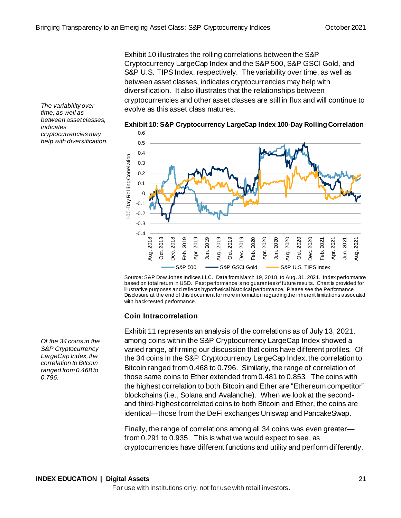Exhibit 10 illustrates the rolling correlations between the S&P Cryptocurrency LargeCap Index and the S&P 500, S&P GSCI Gold, and S&P U.S. TIPS Index, respectively. The variability over time, as well as between asset classes, indicates cryptocurrencies may help with diversification. It also illustrates that the relationships between cryptocurrencies and other asset classes are still in flux and will continue to evolve as this asset class matures.

*The variability over time, as well as between asset classes, indicates cryptocurrencies may help with diversification.*



Source: S&P Dow Jones Indices LLC. Data from March 19, 2018, to Aug. 31, 2021. Index performance based on total return in USD. Past performance is no guarantee of future results. Chart is provided for illustrative purposes and reflects hypothetical historical performance. Please see the Performance Disclosure at the end of this document for more information regarding the inherent limitations associated with back-tested performance.

#### **Coin Intracorrelation**

Exhibit 11 represents an analysis of the correlations as of July 13, 2021, among coins within the S&P Cryptocurrency LargeCap Index showed a varied range, affirming our discussion that coins have different profiles. Of the 34 coins in the S&P Cryptocurrency LargeCap Index, the correlation to Bitcoin ranged from 0.468 to 0.796. Similarly, the range of correlation of those same coins to Ether extended from 0.481 to 0.853. The coins with the highest correlation to both Bitcoin and Ether are "Ethereum competitor" blockchains (i.e., Solana and Avalanche). When we look at the secondand third-highest correlated coins to both Bitcoin and Ether, the coins are identical—those from the DeFi exchanges Uniswap and PancakeSwap.

Finally, the range of correlations among all 34 coins was even greater from 0.291 to 0.935. This is what we would expect to see, as cryptocurrencies have different functions and utility and perform differently.

*Of the 34 coins in the S&P Cryptocurrency LargeCap Index, the correlation to Bitcoin ranged from 0.468 to 0.796.*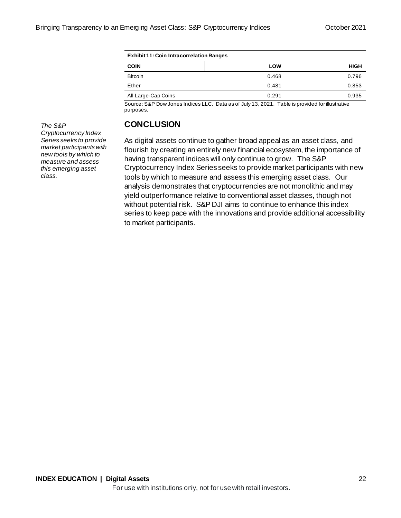| <b>Exhibit 11: Coin Intracorrelation Ranges</b> |            |             |  |  |  |
|-------------------------------------------------|------------|-------------|--|--|--|
| <b>COIN</b>                                     | <b>LOW</b> | <b>HIGH</b> |  |  |  |
| <b>Bitcoin</b>                                  | 0.468      | 0.796       |  |  |  |
| Ether                                           | 0.481      | 0.853       |  |  |  |
| All Large-Cap Coins                             | 0.291      | 0.935       |  |  |  |

Source: S&P Dow Jones Indices LLC. Data as of July 13, 2021. Table is provided for illustrative purposes.

# **CONCLUSION**

As digital assets continue to gather broad appeal as an asset class, and flourish by creating an entirely new financial ecosystem, the importance of having transparent indices will only continue to grow. The S&P Cryptocurrency Index Series seeks to provide market participants with new tools by which to measure and assess this emerging asset class. Our analysis demonstrates that cryptocurrencies are not monolithic and may yield outperformance relative to conventional asset classes, though not without potential risk. S&P DJI aims to continue to enhance this index series to keep pace with the innovations and provide additional accessibility to market participants.

*The S&P Cryptocurrency Index Series seeks to provide market participants with new tools by which to measure and assess this emerging asset class.*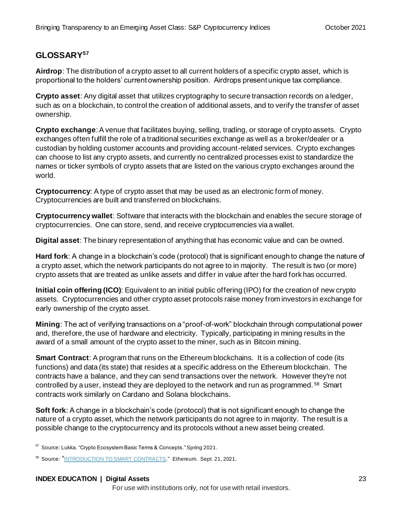# **GLOSSARY<sup>57</sup>**

**Airdrop**: The distribution of a crypto asset to all current holders of a specific crypto asset, which is proportional to the holders' current ownership position. Airdrops present unique tax compliance.

**Crypto asset**: Any digital asset that utilizes cryptography to secure transaction records on a ledger, such as on a blockchain, to control the creation of additional assets, and to verify the transfer of asset ownership.

**Crypto exchange**: A venue that facilitates buying, selling, trading, or storage of crypto assets. Crypto exchanges often fulfill the role of a traditional securities exchange as well as a broker/dealer or a custodian by holding customer accounts and providing account-related services. Crypto exchanges can choose to list any crypto assets, and currently no centralized processes exist to standardize the names or ticker symbols of crypto assets that are listed on the various crypto exchanges around the world.

**Cryptocurrency**: A type of crypto asset that may be used as an electronic form of money. Cryptocurrencies are built and transferred on blockchains.

**Cryptocurrency wallet**: Software that interacts with the blockchain and enables the secure storage of cryptocurrencies. One can store, send, and receive cryptocurrencies via a wallet.

**Digital asset**: The binary representation of anything that has economic value and can be owned.

**Hard fork**: A change in a blockchain's code (protocol) that is significant enough to change the nature of a crypto asset, which the network participants do not agree to in majority. The result is two (or more) crypto assets that are treated as unlike assets and differ in value after the hard fork has occurred.

**Initial coin offering (ICO)**: Equivalent to an initial public offering (IPO) for the creation of new crypto assets. Cryptocurrencies and other crypto asset protocols raise money from investors in exchange for early ownership of the crypto asset.

**Mining**: The act of verifying transactions on a "proof-of-work" blockchain through computational power and, therefore, the use of hardware and electricity. Typically, participating in mining results in the award of a small amount of the crypto asset to the miner, such as in Bitcoin mining.

**Smart Contract**: A program that runs on the Ethereum blockchains. It is a collection of code (its functions) and data (its state) that resides at a specific address on the Ethereum blockchain. The contracts have a balance, and they can send transactions over the network. However they're not controlled by a user, instead they are deployed to the network and run as programmed. <sup>58</sup> Smart contracts work similarly on Cardano and Solana blockchains.

**Soft fork**: A change in a blockchain's code (protocol) that is not significant enough to change the nature of a crypto asset, which the network participants do not agree to in majority. The result is a possible change to the cryptocurrency and its protocols without a new asset being created.

<sup>57</sup> Source: Lukka. "Crypto Ecosystem Basic Terms & Concepts." Spring 2021.

#### **INDEX EDUCATION | Digital Assets** 23

<sup>&</sup>lt;sup>58</sup> Source: "[INTRODUCTION TO SMART CONTRACTS.](https://ethereum.org/en/developers/docs/smart-contracts/)" Ethereum. Sept. 21, 2021.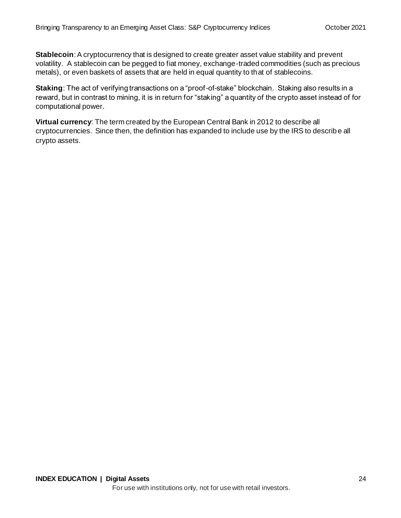**Stablecoin**: A cryptocurrency that is designed to create greater asset value stability and prevent volatility. A stablecoin can be pegged to fiat money, exchange-traded commodities (such as precious metals), or even baskets of assets that are held in equal quantity to that of stablecoins.

**Staking**: The act of verifying transactions on a "proof-of-stake" blockchain. Staking also results in a reward, but in contrast to mining, it is in return for "staking" a quantity of the crypto asset instead of for computational power.

**Virtual currency**: The term created by the European Central Bank in 2012 to describe all cryptocurrencies. Since then, the definition has expanded to include use by the IRS to describ e all crypto assets.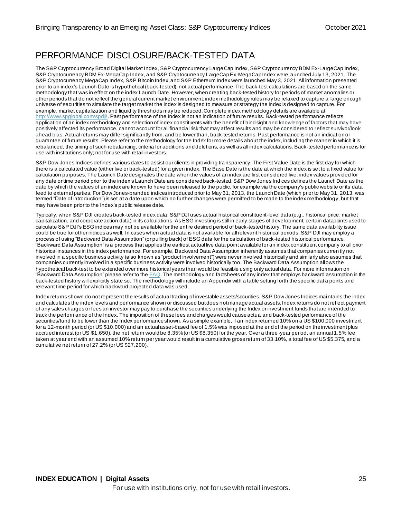# PERFORMANCE DISCLOSURE/BACK-TESTED DATA

The S&P Cryptocurrency Broad Digital Market Index, S&P Cryptocurrency LargeCap Index, S&P Cryptocurrency BDM Ex-LargeCap Index, S&P Cryptocurrency BDM Ex-MegaCap Index, and S&P Cryptocurrency LargeCap Ex-MegaCap Index were launched July 13, 2021. The S&P Cryptocurrency MegaCap Index, S&P Bitcoin Index, and S&P Ethereum Index were launched May 3, 2021.All information presented prior to an index's Launch Date is hypothetical (back-tested), not actual performance. The back-test calculations are based on the same methodology that was in effect on the index Launch Date. However, when creating back-tested history for periods of market anomalies or other periods that do not reflect the general current market environment, index methodology rules may be relaxed to capture a large enough universe of securities to simulate the target market the index is designed to measure or strategy the index is designed to capture. For example, market capitalization and liquidity thresholds may be reduced. Complete index methodology details are available at [http://www.spglobal.com/spdji/](http://www.spglobal.com/spdji/en/?utm_source=pdf_education). Past performance of the Index is not an indication of future results. Back-tested performance reflects application of an index methodology and selection of index constituents with the benefit of hind sight and knowledge of factors that may have positively affected its performance, cannot account for all financial risk that may affect results and may be considered to reflect survivor/look ahead bias. Actual returns may differ significantly from, and be lower than, back-tested returns. Past performance is not an indication or guarantee of future results. Please refer to the methodology for the Index for more details about the index, including the manner in which it is rebalanced, the timing of such rebalancing, criteria for additions and deletions, as well as all index calculations. Back-tested performance is for use with institutions only; not for use with retail investors.

S&P Dow Jones Indices defines various dates to assist our clients in providing transparency. The First Value Date is the first day for which there is a calculated value (either live or back-tested) for a given index. The Base Date is the date at which the index is set to a fixed value for calculation purposes. The Launch Date designates the date when the values of an index are first considered live: index values provided for any date or time period prior to the index's Launch Date are considered back-tested. S&P Dow Jones Indices defines the Launch Date as the date by which the values of an index are known to have been released to the public, for example via the company's public website or its data feed to external parties. For Dow Jones-branded indices introduced prior to May 31, 2013, the Launch Date (which prior to May 31, 2013, was termed "Date of introduction") is set at a date upon which no further changes were permitted to be made to the index methodology, but that may have been prior to the Index's public release date.

Typically, when S&P DJI creates back-tested index data, S&P DJI uses actual historical constituent-level data (e.g., historical price, market capitalization, and corporate action data) in its calculations. As ESG investing is still in early stages of development, certain datapoints used to calculate S&P DJI's ESG indices may not be available for the entire desired period of back-tested history. The same data availability issue could be true for other indices as well. In cases when actual data is not available for all relevant historical periods, S&P DJI may employ a process of using "Backward Data Assumption" (or pulling back) of ESG data for the calculation of back-tested historical performance. "Backward Data Assumption" is a process that applies the earliest actual live data point available for an index constituent company to all prior historical instances in the index performance. For example, Backward Data Assumption inherently assumes that companies curren tly not involved in a specific business activity (also known as "product involvement") were never involved historically and similarly also assumes that companies currently involved in a specific business activity were involved historically too. The Backward Data Assumption allows the hypothetical back-test to be extended over more historical years than would be feasible using only actual data. For more information on "Backward Data Assumption" please refer to the  $FAQ$ . The methodology and factsheets of any index that employs backward assumption in the back-tested history will explicitly state so. The methodology will include an Appendix with a table setting forth the specific dat a points and relevant time period for which backward projected data was used.

Index returns shown do not represent the results of actual trading of investable assets/securities. S&P Dow Jones Indices maintains the index and calculates the index levels and performance shown or discussed but does not manage actual assets. Index returns do not reflect payment of any sales charges or fees an investor may pay to purchase the securities underlying the Index or investment funds that are intended to track the performance of the Index. The imposition of these fees and charges would cause actual and back-tested performance of the securities/fund to be lower than the Index performance shown. As a simple example, if an index returned 10% on a US \$100,000 investment for a 12-month period (or US \$10,000) and an actual asset-based fee of 1.5% was imposed at the end of the period on the investment plus accrued interest (or US \$1,650), the net return would be 8.35% (or US \$8,350) for the year. Over a three -year period, an annual 1.5% fee taken at year end with an assumed 10% return per year would result in a cumulative gross return of 33.10%, a total fee of US \$5,375, and a cumulative net return of 27.2% (or US \$27,200).